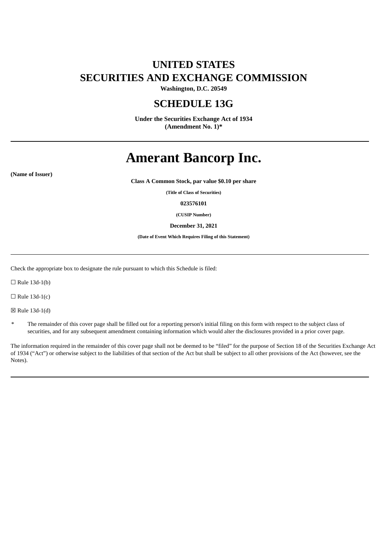## **UNITED STATES SECURITIES AND EXCHANGE COMMISSION**

**Washington, D.C. 20549**

### **SCHEDULE 13G**

**Under the Securities Exchange Act of 1934 (Amendment No. 1)\***

# **Amerant Bancorp Inc.**

**(Name of Issuer)**

**Class A Common Stock, par value \$0.10 per share**

**(Title of Class of Securities)**

**023576101**

**(CUSIP Number)**

**December 31, 2021**

**(Date of Event Which Requires Filing of this Statement)**

Check the appropriate box to designate the rule pursuant to which this Schedule is filed:

 $\Box$  Rule 13d-1(b)

 $\Box$  Rule 13d-1(c)

☒ Rule 13d-1(d)

The remainder of this cover page shall be filled out for a reporting person's initial filing on this form with respect to the subject class of securities, and for any subsequent amendment containing information which would alter the disclosures provided in a prior cover page.

The information required in the remainder of this cover page shall not be deemed to be "filed" for the purpose of Section 18 of the Securities Exchange Act of 1934 ("Act") or otherwise subject to the liabilities of that section of the Act but shall be subject to all other provisions of the Act (however, see the Notes).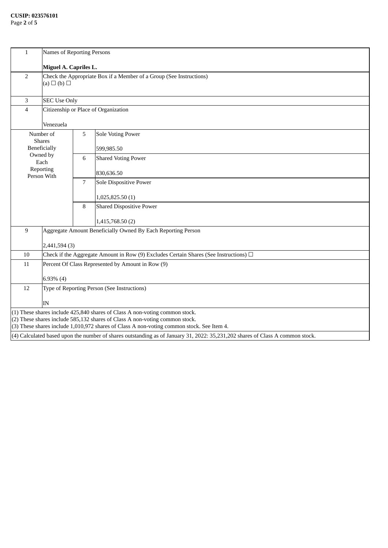| $\mathbf{1}$                                                                                                                                                   | Names of Reporting Persons                                                                       |   |                                                              |  |  |
|----------------------------------------------------------------------------------------------------------------------------------------------------------------|--------------------------------------------------------------------------------------------------|---|--------------------------------------------------------------|--|--|
|                                                                                                                                                                | Miguel A. Capriles L.                                                                            |   |                                                              |  |  |
| 2                                                                                                                                                              | Check the Appropriate Box if a Member of a Group (See Instructions)<br>$(a) \square (b) \square$ |   |                                                              |  |  |
| 3                                                                                                                                                              | <b>SEC Use Only</b>                                                                              |   |                                                              |  |  |
| $\overline{4}$                                                                                                                                                 | Citizenship or Place of Organization                                                             |   |                                                              |  |  |
|                                                                                                                                                                | Venezuela                                                                                        |   |                                                              |  |  |
|                                                                                                                                                                | Number of                                                                                        | 5 | <b>Sole Voting Power</b>                                     |  |  |
| <b>Shares</b><br><b>Beneficially</b>                                                                                                                           |                                                                                                  |   | 599,985.50                                                   |  |  |
|                                                                                                                                                                | Owned by<br>Each                                                                                 | 6 | <b>Shared Voting Power</b>                                   |  |  |
|                                                                                                                                                                | Reporting                                                                                        |   | 830,636.50                                                   |  |  |
|                                                                                                                                                                | Person With                                                                                      | 7 | Sole Dispositive Power                                       |  |  |
|                                                                                                                                                                |                                                                                                  |   |                                                              |  |  |
|                                                                                                                                                                |                                                                                                  |   | 1,025,825.50 (1)                                             |  |  |
|                                                                                                                                                                |                                                                                                  | 8 | <b>Shared Dispositive Power</b>                              |  |  |
|                                                                                                                                                                |                                                                                                  |   | 1,415,768.50 (2)                                             |  |  |
| $\boldsymbol{9}$                                                                                                                                               |                                                                                                  |   | Aggregate Amount Beneficially Owned By Each Reporting Person |  |  |
|                                                                                                                                                                | 2,441,594 (3)                                                                                    |   |                                                              |  |  |
| 10                                                                                                                                                             | Check if the Aggregate Amount in Row (9) Excludes Certain Shares (See Instructions) $\Box$       |   |                                                              |  |  |
| 11                                                                                                                                                             | Percent Of Class Represented by Amount in Row (9)                                                |   |                                                              |  |  |
|                                                                                                                                                                | $6.93\%$ (4)                                                                                     |   |                                                              |  |  |
| 12                                                                                                                                                             | Type of Reporting Person (See Instructions)                                                      |   |                                                              |  |  |
|                                                                                                                                                                |                                                                                                  |   |                                                              |  |  |
| IN                                                                                                                                                             |                                                                                                  |   |                                                              |  |  |
| $(1)$ These shares include 425,840 shares of Class A non-voting common stock.<br>$(2)$ These shares include 585,132 shares of Class A non-voting common stock. |                                                                                                  |   |                                                              |  |  |
| (3) These shares include 1,010,972 shares of Class A non-voting common stock. See Item 4.                                                                      |                                                                                                  |   |                                                              |  |  |
| $(4)$ Calculated based upon the number of shares outstanding as of January 31, 2022: 35,231,202 shares of Class A common stock.                                |                                                                                                  |   |                                                              |  |  |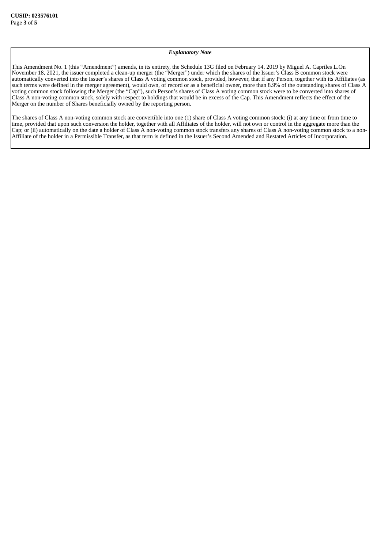#### *Explanatory Note*

This Amendment No. 1 (this "Amendment") amends, in its entirety, the Schedule 13G filed on February 14, 2019 by Miguel A. Capriles L.On November 18, 2021, the issuer completed a clean-up merger (the "Merger") under which the shares of the Issuer's Class B common stock were automatically converted into the Issuer's shares of Class A voting common stock, provided, however, that if any Person, together with its Affiliates (as such terms were defined in the merger agreement), would own, of record or as a beneficial owner, more than 8.9% of the outstanding shares of Class A voting common stock following the Merger (the "Cap"), such Person's shares of Class A voting common stock were to be converted into shares of Class A non-voting common stock, solely with respect to holdings that would be in excess of the Cap. This Amendment reflects the effect of the Merger on the number of Shares beneficially owned by the reporting person.

The shares of Class A non-voting common stock are convertible into one (1) share of Class A voting common stock: (i) at any time or from time to time, provided that upon such conversion the holder, together with all Affiliates of the holder, will not own or control in the aggregate more than the Cap; or (ii) automatically on the date a holder of Class A non-voting common stock transfers any shares of Class A non-voting common stock to a non-Affiliate of the holder in a Permissible Transfer, as that term is defined in the Issuer's Second Amended and Restated Articles of Incorporation.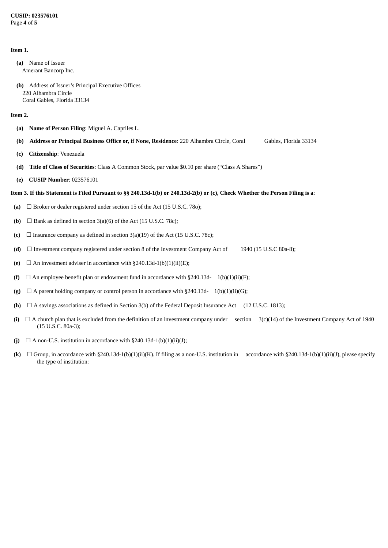#### **CUSIP: 023576101** Page **4** of **5**

#### **Item 1.**

**(a)** Name of Issuer Amerant Bancorp Inc.

**(b)** Address of Issuer's Principal Executive Offices 220 Alhambra Circle Coral Gables, Florida 33134

#### **Item 2.**

- **(a) Name of Person Filing**: Miguel A. Capriles L.
- **(b) Address or Principal Business Office or, if None, Residence**: 220 Alhambra Circle, Coral Gables, Florida 33134
- **(c) Citizenship**: Venezuela
- **(d) Title of Class of Securities**: Class A Common Stock, par value \$0.10 per share ("Class A Shares")
- **(e) CUSIP Number**: 023576101

#### Item 3. If this Statement is Filed Pursuant to §§ 240.13d-1(b) or 240.13d-2(b) or (c), Check Whether the Person Filing is a:

- **(a)** ☐ Broker or dealer registered under section 15 of the Act (15 U.S.C. 78o);
- **(b)**  $\Box$  Bank as defined in section 3(a)(6) of the Act (15 U.S.C. 78c);
- **(c)**  $\Box$  Insurance company as defined in section 3(a)(19) of the Act (15 U.S.C. 78c);
- **(d)** ☐ Investment company registered under section 8 of the Investment Company Act of 1940 (15 U.S.C 80a-8);
- **(e)**  $\Box$  An investment adviser in accordance with §240.13d-1(b)(1)(ii)(E);
- **(f)**  $\Box$  An employee benefit plan or endowment fund in accordance with §240.13d-  $1(b)(1)(ii)(F);$
- **(g)**  $\Box$  A parent holding company or control person in accordance with §240.13d- 1(b)(1)(ii)(G);
- **(h)** ☐ A savings associations as defined in Section 3(b) of the Federal Deposit Insurance Act (12 U.S.C. 1813);
- (i)  $\Box$  A church plan that is excluded from the definition of an investment company under section  $3(c)(14)$  of the Investment Company Act of 1940 (15 U.S.C. 80a-3);
- (j)  $\Box$  A non-U.S. institution in accordance with §240.13d-1(b)(1)(ii)(J);
- **(k)** ☐ Group, in accordance with §240.13d-1(b)(1)(ii)(K). If filing as a non-U.S. institution in accordance with §240.13d-1(b)(1)(ii)(J), please specify the type of institution: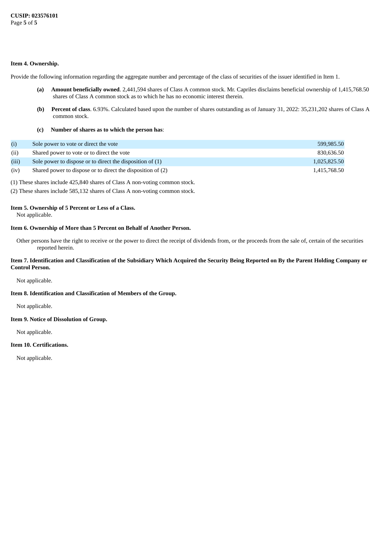#### **Item 4. Ownership.**

Provide the following information regarding the aggregate number and percentage of the class of securities of the issuer identified in Item 1.

- **(a) Amount beneficially owned**. 2,441,594 shares of Class A common stock. Mr. Capriles disclaims beneficial ownership of 1,415,768.50 shares of Class A common stock as to which he has no economic interest therein.
- **(b) Percent of class**. 6.93%. Calculated based upon the number of shares outstanding as of January 31, 2022: 35,231,202 shares of Class A common stock.
- **(c) Number of shares as to which the person has**:

|       | Sole power to vote or direct the vote                       | 599,985.50   |
|-------|-------------------------------------------------------------|--------------|
| (ii)  | Shared power to vote or to direct the vote                  | 830.636.50   |
| (iii) | Sole power to dispose or to direct the disposition of (1)   | 1,025,825.50 |
| (iv)  | Shared power to dispose or to direct the disposition of (2) | 1.415.768.50 |

(1) These shares include 425,840 shares of Class A non-voting common stock.

(2) These shares include 585,132 shares of Class A non-voting common stock.

## **Item 5. Ownership of 5 Percent or Less of a Class.**

Not applicable.

#### **Item 6. Ownership of More than 5 Percent on Behalf of Another Person.**

Other persons have the right to receive or the power to direct the receipt of dividends from, or the proceeds from the sale of, certain of the securities reported herein.

#### Item 7. Identification and Classification of the Subsidiary Which Acquired the Security Being Reported on By the Parent Holding Company or **Control Person.**

Not applicable.

#### **Item 8. Identification and Classification of Members of the Group.**

Not applicable.

#### **Item 9. Notice of Dissolution of Group.**

Not applicable.

#### **Item 10. Certifications.**

Not applicable.